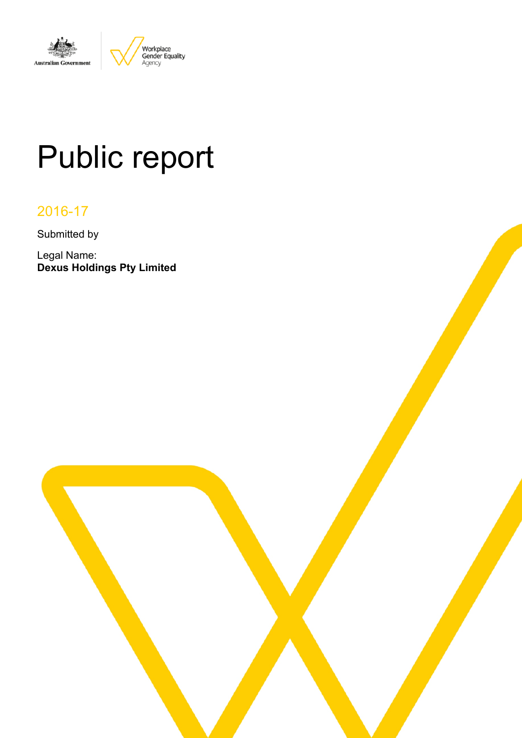

# Public report

# 2016-17

Submitted by

Legal Name: **Dexus Holdings Pty Limited**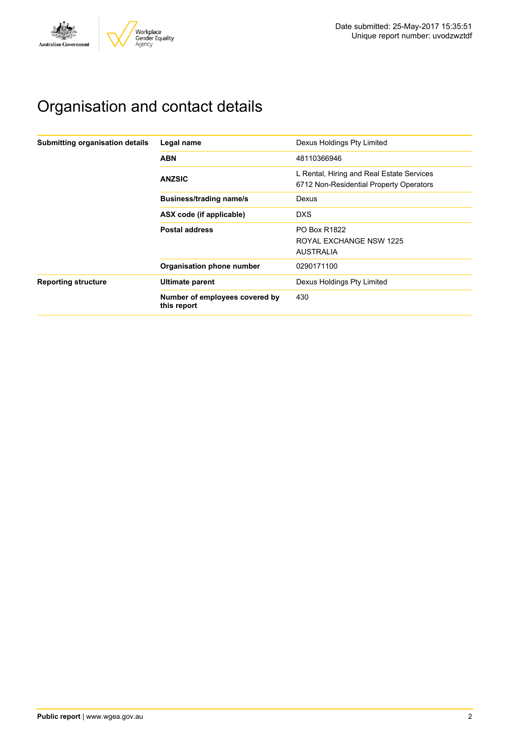

# Organisation and contact details

| Submitting organisation details | Legal name                                    | Dexus Holdings Pty Limited                                                           |
|---------------------------------|-----------------------------------------------|--------------------------------------------------------------------------------------|
|                                 | <b>ABN</b>                                    | 48110366946                                                                          |
|                                 | <b>ANZSIC</b>                                 | L Rental, Hiring and Real Estate Services<br>6712 Non-Residential Property Operators |
|                                 | <b>Business/trading name/s</b>                | Dexus                                                                                |
|                                 | ASX code (if applicable)                      | <b>DXS</b>                                                                           |
|                                 | <b>Postal address</b>                         | <b>PO Box R1822</b>                                                                  |
|                                 |                                               | ROYAL EXCHANGE NSW 1225                                                              |
|                                 |                                               | <b>AUSTRALIA</b>                                                                     |
|                                 | Organisation phone number                     | 0290171100                                                                           |
| <b>Reporting structure</b>      | Ultimate parent                               | Dexus Holdings Pty Limited                                                           |
|                                 | Number of employees covered by<br>this report | 430                                                                                  |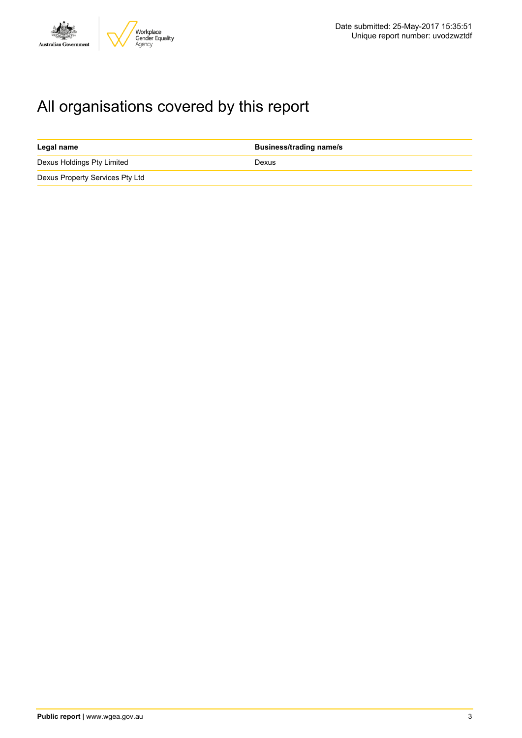

# All organisations covered by this report

| Legal name                      | <b>Business/trading name/s</b> |
|---------------------------------|--------------------------------|
| Dexus Holdings Pty Limited      | Dexus                          |
| Dexus Property Services Pty Ltd |                                |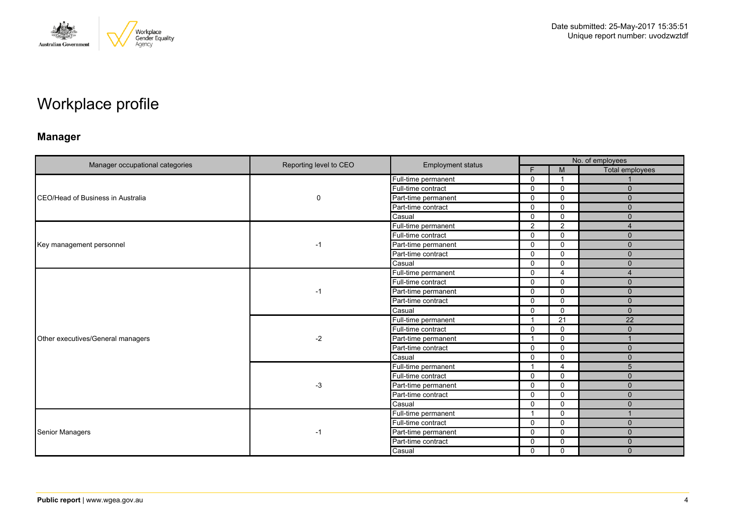

# Workplace profile

# **Manager**

| Manager occupational categories           | Reporting level to CEO | <b>Employment status</b> | No. of employees |                |                 |  |
|-------------------------------------------|------------------------|--------------------------|------------------|----------------|-----------------|--|
|                                           |                        |                          | F.               | M              | Total employees |  |
|                                           |                        | Full-time permanent      | $\mathbf 0$      |                |                 |  |
|                                           | $\mathbf 0$            | Full-time contract       | $\Omega$         | $\mathbf 0$    | $\mathbf{0}$    |  |
| <b>ICEO/Head of Business in Australia</b> |                        | Part-time permanent      | 0                | $\Omega$       | $\Omega$        |  |
|                                           |                        | Part-time contract       | $\mathbf 0$      | $\mathbf{0}$   | $\mathbf{0}$    |  |
|                                           |                        | Casual                   | $\Omega$         | $\mathbf 0$    | $\mathbf{0}$    |  |
|                                           |                        | Full-time permanent      | 2                | 2              | $\overline{4}$  |  |
|                                           |                        | Full-time contract       | $\Omega$         | $\mathbf 0$    | $\mathbf{0}$    |  |
| Key management personnel                  | $-1$                   | Part-time permanent      | 0                | $\mathbf 0$    | $\mathbf{0}$    |  |
|                                           |                        | Part-time contract       | 0                | $\mathbf{0}$   | $\Omega$        |  |
|                                           |                        | Casual                   | $\mathbf 0$      | $\mathbf 0$    | $\mathbf{0}$    |  |
|                                           |                        | Full-time permanent      | 0                | $\overline{4}$ | $\overline{4}$  |  |
|                                           | $-1$                   | Full-time contract       | 0                | $\mathbf 0$    | $\Omega$        |  |
|                                           |                        | Part-time permanent      | $\Omega$         | $\mathbf 0$    | $\mathbf{0}$    |  |
|                                           |                        | Part-time contract       | 0                | $\mathbf 0$    | $\mathbf{0}$    |  |
|                                           |                        | Casual                   | $\Omega$         | $\mathbf{0}$   | $\Omega$        |  |
|                                           | $-2$                   | Full-time permanent      | $\mathbf 1$      | 21             | 22              |  |
|                                           |                        | Full-time contract       | $\Omega$         | 0              | $\mathbf{0}$    |  |
| Other executives/General managers         |                        | Part-time permanent      | 1                | $\Omega$       |                 |  |
|                                           |                        | Part-time contract       | $\Omega$         | $\mathbf 0$    | $\mathbf{0}$    |  |
|                                           |                        | Casual                   | $\Omega$         | $\mathbf 0$    | $\mathbf{0}$    |  |
|                                           |                        | Full-time permanent      | $\mathbf 1$      | $\overline{4}$ | 5               |  |
|                                           |                        | Full-time contract       | $\mathbf 0$      | $\mathbf 0$    | $\mathbf{0}$    |  |
|                                           | $-3$                   | Part-time permanent      | $\Omega$         | $\mathbf 0$    | $\Omega$        |  |
|                                           |                        | Part-time contract       | $\Omega$         | $\mathbf 0$    | $\Omega$        |  |
|                                           |                        | Casual                   | 0                | $\mathbf 0$    | $\mathbf{0}$    |  |
|                                           |                        | Full-time permanent      | -1               | $\Omega$       |                 |  |
|                                           |                        | Full-time contract       | $\Omega$         | $\mathbf 0$    | $\mathbf{0}$    |  |
| Senior Managers                           | $-1$                   | Part-time permanent      | 0                | $\mathbf 0$    | $\mathbf{0}$    |  |
|                                           |                        | Part-time contract       | 0                | $\mathbf 0$    | $\mathbf{0}$    |  |
|                                           |                        | Casual                   | $\mathbf 0$      | $\mathbf 0$    | $\mathbf{0}$    |  |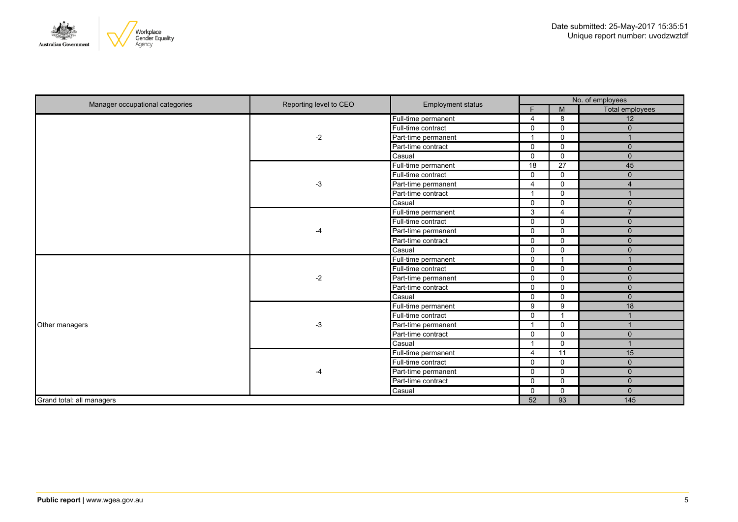

| Manager occupational categories | Reporting level to CEO<br><b>Employment status</b> |                     |                | No. of employees         |                         |  |
|---------------------------------|----------------------------------------------------|---------------------|----------------|--------------------------|-------------------------|--|
|                                 |                                                    |                     | F.             | M                        | <b>Total employees</b>  |  |
|                                 |                                                    | Full-time permanent | 4              | 8                        | 12                      |  |
|                                 |                                                    | Full-time contract  | $\mathbf 0$    | $\mathbf 0$              | $\Omega$                |  |
|                                 | $-2$                                               | Part-time permanent | 1              | $\mathbf 0$              |                         |  |
|                                 |                                                    | Part-time contract  | $\mathbf{0}$   | $\Omega$                 | $\mathbf{0}$            |  |
|                                 |                                                    | Casual              | $\mathbf 0$    | $\mathbf 0$              | $\mathbf 0$             |  |
|                                 |                                                    | Full-time permanent | 18             | 27                       | 45                      |  |
|                                 |                                                    | Full-time contract  | $\mathbf 0$    | $\mathbf 0$              | $\mathbf{0}$            |  |
|                                 | $-3$                                               | Part-time permanent | $\overline{4}$ | $\mathbf 0$              | $\overline{4}$          |  |
|                                 |                                                    | Part-time contract  | $\mathbf{1}$   | $\mathbf 0$              | $\overline{1}$          |  |
|                                 |                                                    | Casual              | $\Omega$       | $\mathbf 0$              | $\mathbf{0}$            |  |
|                                 |                                                    | Full-time permanent | 3              | $\overline{4}$           | $\overline{7}$          |  |
|                                 | $-4$                                               | Full-time contract  | $\Omega$       | $\Omega$                 | $\mathbf{0}$            |  |
|                                 |                                                    | Part-time permanent | $\mathbf 0$    | $\mathbf 0$              | $\Omega$                |  |
|                                 |                                                    | Part-time contract  | $\mathbf 0$    | $\mathbf 0$              | $\mathbf 0$             |  |
|                                 |                                                    | Casual              | $\mathbf 0$    | $\Omega$                 | $\Omega$                |  |
|                                 | $-2$                                               | Full-time permanent | $\mathbf 0$    | $\overline{\mathbf{1}}$  |                         |  |
|                                 |                                                    | Full-time contract  | $\mathbf 0$    | $\mathbf 0$              | $\Omega$                |  |
|                                 |                                                    | Part-time permanent | $\mathbf 0$    | $\mathbf 0$              | $\mathbf{0}$            |  |
|                                 |                                                    | Part-time contract  | $\mathbf 0$    | $\mathbf 0$              | $\mathbf 0$             |  |
|                                 |                                                    | Casual              | $\mathbf 0$    | $\mathbf 0$              | $\mathbf{0}$            |  |
|                                 |                                                    | Full-time permanent | 9              | 9                        | 18                      |  |
|                                 |                                                    | Full-time contract  | $\Omega$       | $\overline{\phantom{0}}$ |                         |  |
| Other managers                  | $-3$                                               | Part-time permanent | -1             | $\Omega$                 |                         |  |
|                                 |                                                    | Part-time contract  | $\mathbf 0$    | $\mathbf 0$              | $\Omega$                |  |
|                                 |                                                    | Casual              | 1              | $\mathbf 0$              | $\overline{\mathbf{A}}$ |  |
|                                 |                                                    | Full-time permanent | 4              | 11                       | 15                      |  |
|                                 |                                                    | Full-time contract  | $\mathbf 0$    | $\mathbf 0$              | $\Omega$                |  |
|                                 | $-4$                                               | Part-time permanent | $\mathbf 0$    | $\mathbf 0$              | $\Omega$                |  |
|                                 |                                                    | Part-time contract  | $\mathbf 0$    | $\mathbf 0$              | $\mathbf{0}$            |  |
|                                 |                                                    | Casual              | $\mathbf 0$    | $\mathbf 0$              | $\mathbf{0}$            |  |
| Grand total: all managers       |                                                    |                     | 52             | 93                       | 145                     |  |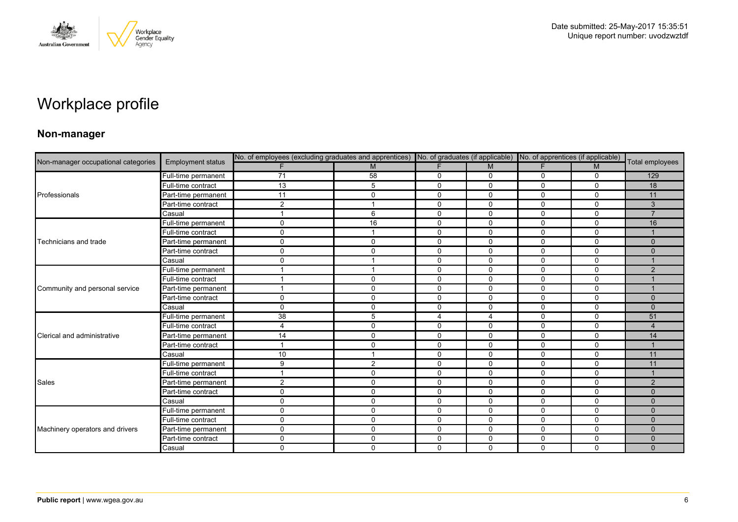

# Workplace profile

### **Non-manager**

| Non-manager occupational categories |                          |                 | No. of employees (excluding graduates and apprentices) No. of graduates (if applicable) No. of apprentices (if applicable) |                |                |              |             |                 |
|-------------------------------------|--------------------------|-----------------|----------------------------------------------------------------------------------------------------------------------------|----------------|----------------|--------------|-------------|-----------------|
|                                     | <b>Employment status</b> | F               | M                                                                                                                          | F              | M              | F.           | M           | Total employees |
|                                     | Full-time permanent      | $\overline{71}$ | 58                                                                                                                         | 0              | 0              | 0            | 0           | 129             |
|                                     | Full-time contract       | 13              | 5                                                                                                                          | $\mathbf 0$    | $\mathbf 0$    | $\Omega$     | $\mathbf 0$ | 18              |
| Professionals                       | Part-time permanent      | 11              | $\Omega$                                                                                                                   | $\mathbf 0$    | 0              | 0            | $\Omega$    | 11              |
|                                     | Part-time contract       | $\overline{c}$  |                                                                                                                            | 0              | 0              | 0            | $\mathbf 0$ | 3               |
|                                     | Casual                   | $\overline{ }$  | 6                                                                                                                          | $\mathbf 0$    | $\mathbf 0$    | $\Omega$     | $\mathbf 0$ | $\overline{7}$  |
|                                     | Full-time permanent      | $\mathbf 0$     | 16                                                                                                                         | $\mathbf 0$    | $\mathbf 0$    | 0            | $\mathbf 0$ | 16              |
|                                     | Full-time contract       | 0               |                                                                                                                            | 0              | 0              | 0            | 0           |                 |
| Technicians and trade               | Part-time permanent      | $\mathbf 0$     | $\mathbf 0$                                                                                                                | $\mathbf 0$    | $\mathbf 0$    | 0            | $\mathbf 0$ | $\Omega$        |
|                                     | Part-time contract       | 0               | $\mathbf 0$                                                                                                                | $\mathbf 0$    | $\mathbf 0$    | 0            | $\mathbf 0$ | $\Omega$        |
|                                     | Casual                   | $\mathbf 0$     |                                                                                                                            | $\mathbf 0$    | 0              | $\Omega$     | $\mathbf 0$ |                 |
|                                     | Full-time permanent      | $\overline{1}$  |                                                                                                                            | $\mathbf 0$    | 0              | 0            | $\mathbf 0$ | 2               |
|                                     | Full-time contract       |                 | $\Omega$                                                                                                                   | $\mathbf 0$    | 0              | 0            | $\mathbf 0$ |                 |
| Community and personal service      | Part-time permanent      | $\overline{ }$  | $\mathbf 0$                                                                                                                | $\mathbf 0$    | $\mathbf 0$    | $\mathbf 0$  | $\mathbf 0$ |                 |
|                                     | Part-time contract       | $\mathbf 0$     | 0                                                                                                                          | 0              | 0              | 0            | 0           | $\Omega$        |
|                                     | Casual                   | $\Omega$        | $\Omega$                                                                                                                   | $\Omega$       | $\Omega$       | $\Omega$     | $\Omega$    | $\Omega$        |
|                                     | Full-time permanent      | 38              | 5                                                                                                                          | $\overline{4}$ | $\overline{4}$ | $\mathbf 0$  | $\mathbf 0$ | 51              |
|                                     | Full-time contract       | 4               | $\mathbf{0}$                                                                                                               | $\mathbf 0$    | $\Omega$       | $\mathbf{0}$ | $\mathbf 0$ | $\overline{4}$  |
| Clerical and administrative         | Part-time permanent      | 14              | $\Omega$                                                                                                                   | $\Omega$       | $\Omega$       | $\Omega$     | $\Omega$    | 14              |
|                                     | Part-time contract       | $\overline{1}$  | $\mathbf 0$                                                                                                                | 0              | 0              | $\mathbf 0$  | 0           |                 |
|                                     | Casual                   | 10              |                                                                                                                            | $\mathbf 0$    | $\mathbf 0$    | $\mathbf 0$  | $\mathbf 0$ | 11              |
|                                     | Full-time permanent      | 9               | 2                                                                                                                          | $\mathbf 0$    | 0              | $\mathbf{0}$ | $\Omega$    | 11              |
|                                     | Full-time contract       | -1              | $\mathbf{0}$                                                                                                               | $\mathbf 0$    | 0              | 0            | $\mathbf 0$ |                 |
| Sales                               | Part-time permanent      | $\overline{2}$  | $\mathbf 0$                                                                                                                | $\mathbf 0$    | $\mathbf 0$    | $\mathbf 0$  | $\mathbf 0$ | 2               |
|                                     | Part-time contract       | $\mathbf 0$     | $\mathbf{0}$                                                                                                               | $\mathbf 0$    | 0              | $\mathbf{0}$ | $\mathbf 0$ | $\Omega$        |
|                                     | Casual                   | $\mathbf 0$     | $\mathbf{0}$                                                                                                               | $\mathbf 0$    | $\mathbf{0}$   | $\Omega$     | $\mathbf 0$ | $\Omega$        |
|                                     | Full-time permanent      | $\mathbf 0$     | $\mathbf 0$                                                                                                                | $\mathbf 0$    | $\mathbf 0$    | $\mathbf 0$  | $\mathbf 0$ | $\mathbf{0}$    |
|                                     | Full-time contract       | $\mathbf 0$     | $\mathbf{0}$                                                                                                               | $\mathbf 0$    | 0              | $\Omega$     | $\mathbf 0$ | $\Omega$        |
| Machinery operators and drivers     | Part-time permanent      | $\mathbf 0$     | $\mathbf{0}$                                                                                                               | $\mathbf{0}$   | $\Omega$       | $\Omega$     | $\Omega$    | $\Omega$        |
|                                     | Part-time contract       | $\mathbf 0$     | $\mathbf{0}$                                                                                                               | $\mathbf 0$    | $\mathbf 0$    | 0            | $\mathbf 0$ | $\mathbf{0}$    |
|                                     | Casual                   | $\mathbf 0$     | $\mathbf 0$                                                                                                                | $\Omega$       | $\mathbf{0}$   | $\Omega$     | $\mathbf 0$ | $\Omega$        |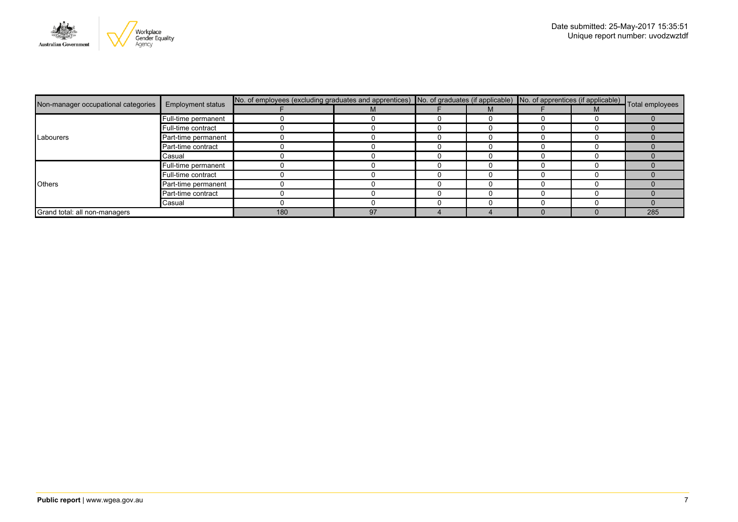

|                                     |                          | No. of employees (excluding graduates and apprentices) No. of graduates (if applicable) No. of apprentices (if applicable) Total employees |    |  |  |  |  |     |
|-------------------------------------|--------------------------|--------------------------------------------------------------------------------------------------------------------------------------------|----|--|--|--|--|-----|
| Non-manager occupational categories | <b>Employment status</b> |                                                                                                                                            |    |  |  |  |  |     |
|                                     | Full-time permanent      |                                                                                                                                            |    |  |  |  |  |     |
|                                     | Full-time contract       |                                                                                                                                            |    |  |  |  |  |     |
| Labourers                           | Part-time permanent      |                                                                                                                                            |    |  |  |  |  |     |
| Part-time contract<br>Casual        |                          |                                                                                                                                            |    |  |  |  |  |     |
|                                     |                          |                                                                                                                                            |    |  |  |  |  |     |
|                                     | Full-time permanent      |                                                                                                                                            |    |  |  |  |  |     |
|                                     | Full-time contract       |                                                                                                                                            |    |  |  |  |  |     |
| <b>Others</b>                       | Part-time permanent      |                                                                                                                                            |    |  |  |  |  |     |
|                                     | Part-time contract       |                                                                                                                                            |    |  |  |  |  |     |
|                                     | Casual                   |                                                                                                                                            |    |  |  |  |  |     |
| Grand total: all non-managers       |                          | 180                                                                                                                                        | 97 |  |  |  |  | 285 |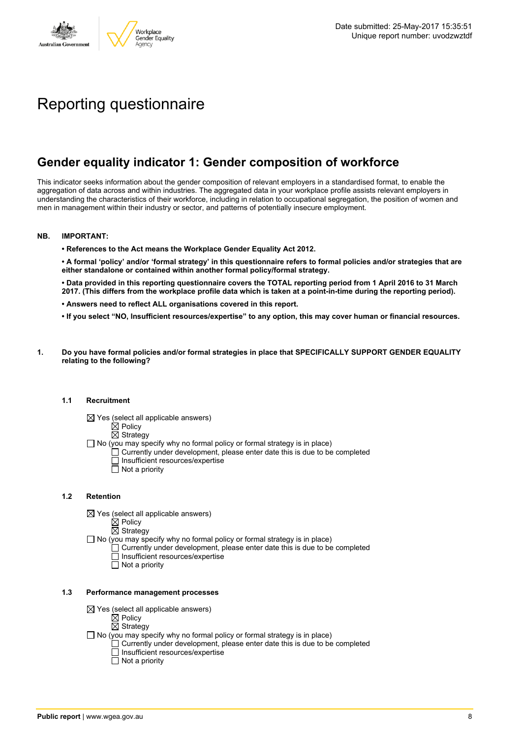

# Reporting questionnaire

# **Gender equality indicator 1: Gender composition of workforce**

This indicator seeks information about the gender composition of relevant employers in a standardised format, to enable the aggregation of data across and within industries. The aggregated data in your workplace profile assists relevant employers in understanding the characteristics of their workforce, including in relation to occupational segregation, the position of women and men in management within their industry or sector, and patterns of potentially insecure employment.

#### **NB. IMPORTANT:**

**• References to the Act means the Workplace Gender Equality Act 2012.**

• A formal 'policy' and/or 'formal strategy' in this questionnaire refers to formal policies and/or strategies that are **either standalone or contained within another formal policy/formal strategy.**

• Data provided in this reporting questionnaire covers the TOTAL reporting period from 1 April 2016 to 31 March 2017. (This differs from the workplace profile data which is taken at a point-in-time during the reporting period).

- **• Answers need to reflect ALL organisations covered in this report.**
- . If you select "NO, Insufficient resources/expertise" to any option, this may cover human or financial resources.
- **1. Do you have formal policies and/or formal strategies in place that SPECIFICALLY SUPPORT GENDER EQUALITY relating to the following?**

#### **1.1 Recruitment**

- $\boxtimes$  Yes (select all applicable answers)
	- $\boxtimes$  Policy
	- $\boxtimes$  Strategy
- No (you may specify why no formal policy or formal strategy is in place)
	- $\Box$  Currently under development, please enter date this is due to be completed
		- $\overline{\Box}$  Insufficient resources/expertise
		- $\Box$  Not a priority

#### **1.2 Retention**

- $\boxtimes$  Yes (select all applicable answers)
	- $\boxtimes$  Policy
	- $\boxtimes$  Strategy
- No (you may specify why no formal policy or formal strategy is in place)
	- $\Box$  Currently under development, please enter date this is due to be completed
		- Insufficient resources/expertise
		- Not a priority

#### **1.3 Performance management processes**

- $\boxtimes$  Yes (select all applicable answers)
	- $\mathbb{\dot{Z}}$  Policy
	- $\boxtimes$  Strategy
- $\Box$  No (you may specify why no formal policy or formal strategy is in place)
	- $\Box$  Currently under development, please enter date this is due to be completed
	- $\Box$  Insufficient resources/expertise
	- $\Box$  Not a priority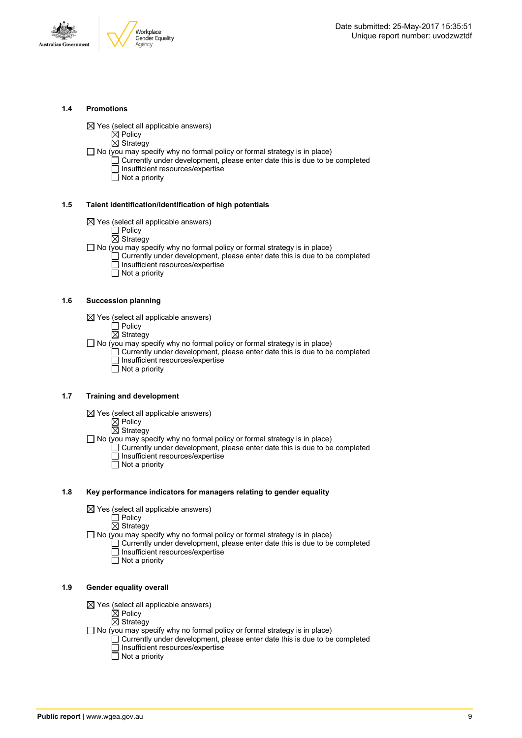



#### **1.4 Promotions**

 $\boxtimes$  Yes (select all applicable answers)

 $\boxtimes$  Policy

 $\overline{\boxtimes}$  Strategy

 $\Box$  No (you may specify why no formal policy or formal strategy is in place)

- $\Box$  Currently under development, please enter date this is due to be completed □ Insufficient resources/expertise
	- $\overline{\Box}$  Not a priority

#### **1.5 Talent identification/identification of high potentials**

- $\boxtimes$  Yes (select all applicable answers)
	- Policy
	- $\overline{\boxtimes}$  Strategy
- $\Box$  No (you may specify why no formal policy or formal strategy is in place)
	- Currently under development, please enter date this is due to be completed Insufficient resources/expertise
		- $\overline{\Box}$  Not a priority

#### **1.6 Succession planning**

- $\boxtimes$  Yes (select all applicable answers)
	- $\Box$  Policy
	- $\overline{\boxtimes}$  Strategy

 $\Box$  No (you may specify why no formal policy or formal strategy is in place)

- $\Box$  Currently under development, please enter date this is due to be completed Insufficient resources/expertise
- Not a priority

#### **1.7 Training and development**

- $\boxtimes$  Yes (select all applicable answers)
	- $\overleftrightarrow{\boxtimes}$  Policy
		- $\boxtimes$  Strategy

 $\Box$  No (you may specify why no formal policy or formal strategy is in place)

- Currently under development, please enter date this is due to be completed Insufficient resources/expertise
	- $\Box$  Not a priority

#### **1.8 Key performance indicators for managers relating to gender equality**

- $\boxtimes$  Yes (select all applicable answers)
	- □ Policy
	- $\boxtimes$  Strategy

 $\Box$  No (you may specify why no formal policy or formal strategy is in place)

- $\Box$  Currently under development, please enter date this is due to be completed Insufficient resources/expertise
	- Not a priority

#### **1.9 Gender equality overall**

- $\boxtimes$  Yes (select all applicable answers)
	- $\mathbb{\dot{A}}$  Policy
	- $\boxtimes$  Strategy
- $\Box$  No (you may specify why no formal policy or formal strategy is in place)
	- $\Box$  Currently under development, please enter date this is due to be completed □ Insufficient resources/expertise
		- $\Box$  Not a priority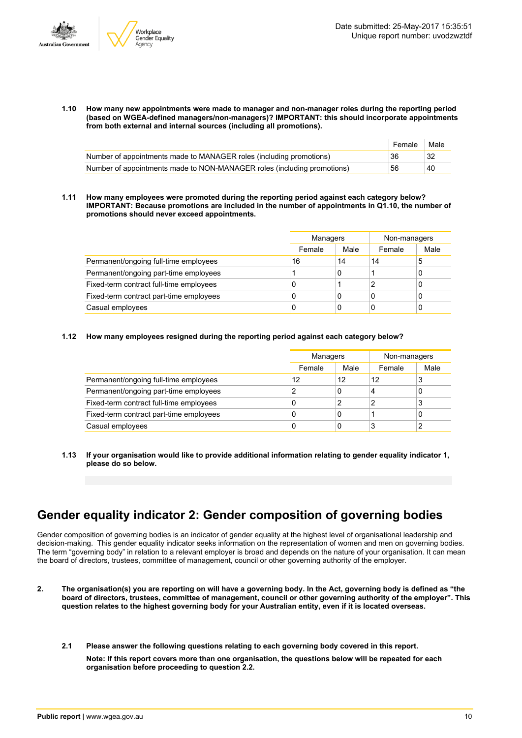

**1.10 How many new appointments were made to manager and non-manager roles during the reporting period (based on WGEA-defined managers/non-managers)? IMPORTANT: this should incorporate appointments from both external and internal sources (including all promotions).**

|                                                                         | Female | Male          |
|-------------------------------------------------------------------------|--------|---------------|
| Number of appointments made to MANAGER roles (including promotions)     | 36     |               |
| Number of appointments made to NON-MANAGER roles (including promotions) | 56     | <sup>40</sup> |

**1.11 How many employees were promoted during the reporting period against each category below? IMPORTANT: Because promotions are included in the number of appointments in Q1.10, the number of promotions should never exceed appointments.**

|                                         | Managers |      | Non-managers |      |
|-----------------------------------------|----------|------|--------------|------|
|                                         | Female   | Male | Female       | Male |
| Permanent/ongoing full-time employees   | 16       | 14   | 14           | 5    |
| Permanent/ongoing part-time employees   |          | 0    |              | 0    |
| Fixed-term contract full-time employees | C        |      |              | 0    |
| Fixed-term contract part-time employees | C        | 0    | 0            | 0    |
| Casual employees                        | C        | 0    | 0            | 0    |

#### **1.12 How many employees resigned during the reporting period against each category below?**

|                                         |        | Managers |        | Non-managers |
|-----------------------------------------|--------|----------|--------|--------------|
|                                         | Female | Male     | Female | Male         |
| Permanent/ongoing full-time employees   | 12     | 12       | 12     | 3            |
| Permanent/ongoing part-time employees   |        | 0        | 4      | 0            |
| Fixed-term contract full-time employees | υ      | 2        | 2      | 3            |
| Fixed-term contract part-time employees | 0      | 0        |        | 0            |
| Casual employees                        | 0      | 0        | 3      |              |

**1.13 If your organisation would like to provide additional information relating to gender equality indicator 1, please do so below.**

# **Gender equality indicator 2: Gender composition of governing bodies**

Gender composition of governing bodies is an indicator of gender equality at the highest level of organisational leadership and decision-making. This gender equality indicator seeks information on the representation of women and men on governing bodies. The term "governing body" in relation to a relevant employer is broad and depends on the nature of your organisation. It can mean the board of directors, trustees, committee of management, council or other governing authority of the employer.

- 2. The organisation(s) you are reporting on will have a governing body. In the Act, governing body is defined as "the board of directors, trustees, committee of management, council or other governing authority of the employer". This question relates to the highest governing body for your Australian entity, even if it is located overseas.
	- **2.1 Please answer the following questions relating to each governing body covered in this report. Note: If this report covers more than one organisation, the questions below will be repeated for each organisation before proceeding to question 2.2.**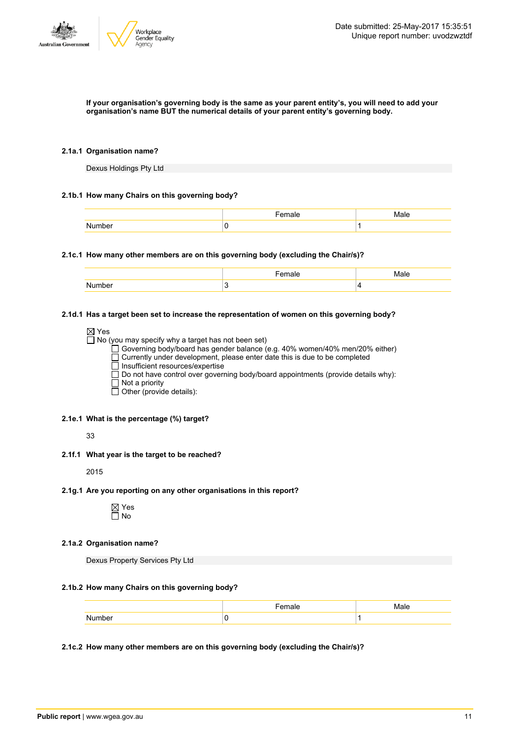

#### If your organisation's governing body is the same as your parent entity's, you will need to add your **organisation's name BUT the numerical details of your parent entity's governing body.**

#### **2.1a.1 Organisation name?**

Dexus Holdings Pty Ltd

#### **2.1b.1 How many Chairs on this governing body?**

|        | не |  |
|--------|----|--|
| . בווז |    |  |

#### **2.1c.1 How many other members are on this governing body (excluding the Chair/s)?**

#### **2.1d.1 Has a target been set to increase the representation of women on this governing body?**

| $\boxtimes$ Yes                                                                          |
|------------------------------------------------------------------------------------------|
| $\Box$ No (you may specify why a target has not been set)                                |
| □ Governing body/board has gender balance (e.g. 40% women/40% men/20% either)            |
| $\Box$ Currently under development, please enter date this is due to be completed        |
| $\Box$ Insufficient resources/expertise                                                  |
| $\Box$ Do not have control over governing body/board appointments (provide details why): |
| $\Box$ Not a priority                                                                    |
| $\Box$ Other (provide details):                                                          |
|                                                                                          |

#### **2.1e.1 What is the percentage (%) target?**

33

#### **2.1f.1 What year is the target to be reached?**

2015

#### **2.1g.1 Are you reporting on any other organisations in this report?**

Yes No

#### **2.1a.2 Organisation name?**

Dexus Property Services Pty Ltd

#### **2.1b.2 How many Chairs on this governing body?**

| <sup>ء</sup> ۔ ۔ ۔ ۔<br>. | Male |
|---------------------------|------|
|                           |      |

#### **2.1c.2 How many other members are on this governing body (excluding the Chair/s)?**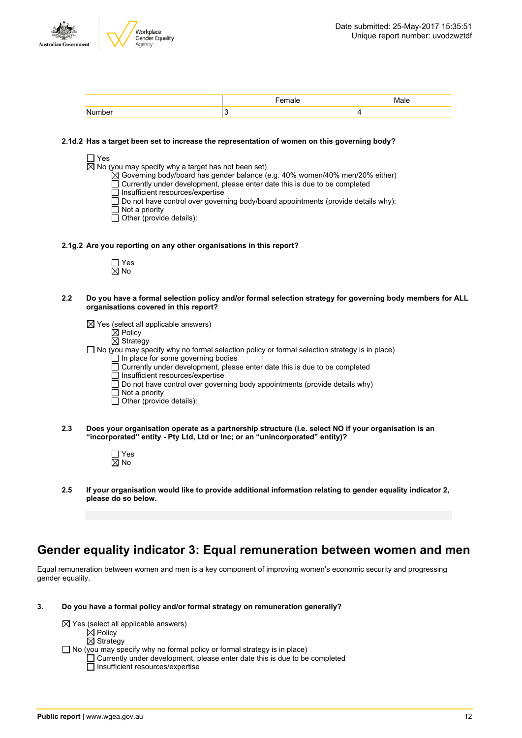

|  | $\sqrt{2}$<br> |
|--|----------------|
|  |                |

#### **2.1d.2 Has a target been set to increase the representation of women on this governing body?**

|--|--|

 $\overline{\boxtimes}$  No (you may specify why a target has not been set)

- $\boxtimes$  Governing body/board has gender balance (e.g. 40% women/40% men/20% either)
- $\Box$  Currently under development, please enter date this is due to be completed
- Insufficient resources/expertise
- Do not have control over governing body/board appointments (provide details why):
- $\Box$  Not a priority
- $\Box$  Other (provide details):
- **2.1g.2 Are you reporting on any other organisations in this report?**
	- Yes  $\overline{\boxtimes}$  No
- 2.2 Do you have a formal selection policy and/or formal selection strategy for governing body members for ALL **organisations covered in this report?**
	- $\boxtimes$  Yes (select all applicable answers)
		- $\overline{\boxtimes}$  Policy
		- $\overline{\boxtimes}$  Strategy
	- $\Box$  No (you may specify why no formal selection policy or formal selection strategy is in place)  $\Box$  In place for some governing bodies
		- $\Box$  Currently under development, please enter date this is due to be completed
		- □ Insufficient resources/expertise
		- $\Box$  Do not have control over governing body appointments (provide details why)
		- $\overline{\Box}$  Not a priority
		- $\Box$  Other (provide details):
- **2.3 Does your organisation operate as a partnership structure (i.e. select NO if your organisation is an "incorporated" entity - Pty Ltd, Ltd or Inc; or an "unincorporated" entity)?**

Yes ⊠ No

**2.5 If your organisation would like to provide additional information relating to gender equality indicator 2, please do so below.**

### **Gender equality indicator 3: Equal remuneration between women and men**

Equal remuneration between women and men is a key component of improving women's economic security and progressing gender equality.

**3. Do you have a formal policy and/or formal strategy on remuneration generally?**

```
\boxtimes Yes (select all applicable answers)
         \overleftrightarrow{\boxtimes} Policy
         \boxtimes Strategy
\Box No (you may specify why no formal policy or formal strategy is in place)
         \Box Currently under development, please enter date this is due to be completed
         \Box Insufficient resources/expertise
```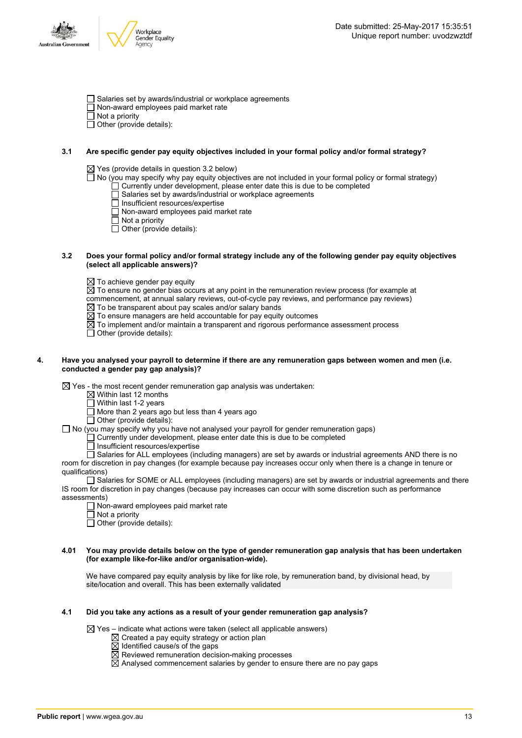



- □ Salaries set by awards/industrial or workplace agreements
- Non-award employees paid market rate
- $\overline{\Box}$  Not a priority
- $\Box$  Other (provide details):

#### **3.1 Are specific gender pay equity objectives included in your formal policy and/or formal strategy?**

 $\boxtimes$  Yes (provide details in question 3.2 below)

 $\square$  No (you may specify why pay equity objectives are not included in your formal policy or formal strategy)

- $\Box$  Currently under development, please enter date this is due to be completed
- $\Box$  Salaries set by awards/industrial or workplace agreements
- □ Insufficient resources/expertise
- $\Box$  Non-award employees paid market rate
- Not a priority
- $\Box$  Other (provide details):

#### 3.2 Does your formal policy and/or formal strategy include any of the following gender pay equity objectives **(select all applicable answers)?**

 $\boxtimes$  To achieve gender pay equity

 $\boxtimes$  To ensure no gender bias occurs at any point in the remuneration review process (for example at

commencement, at annual salary reviews, out-of-cycle pay reviews, and performance pay reviews)

- $\boxtimes$  To be transparent about pay scales and/or salary bands
- $\overline{\boxtimes}$  To ensure managers are held accountable for pay equity outcomes
- $\boxtimes$  To implement and/or maintain a transparent and rigorous performance assessment process
- $\Box$  Other (provide details):

#### 4. Have you analysed your payroll to determine if there are any remuneration gaps between women and men (i.e. **conducted a gender pay gap analysis)?**

 $\boxtimes$  Yes - the most recent gender remuneration gap analysis was undertaken:

- $\boxtimes$  Within last 12 months
- $\Box$  Within last 1-2 years
- $\Box$  More than 2 years ago but less than 4 years ago

 $\Box$  Other (provide details):

 $\Box$  No (you may specify why you have not analysed your payroll for gender remuneration gaps)

 $\Box$  Currently under development, please enter date this is due to be completed

 $\overline{\Box}$  Insufficient resources/expertise

Salaries for ALL employees (including managers) are set by awards or industrial agreements AND there is no room for discretion in pay changes (for example because pay increases occur only when there is a change in tenure or qualifications)

Salaries for SOME or ALL employees (including managers) are set by awards or industrial agreements and there IS room for discretion in pay changes (because pay increases can occur with some discretion such as performance assessments)

- Non-award employees paid market rate
- $\overline{\Box}$  Not a priority
- $\Box$  Other (provide details):

#### 4.01 You may provide details below on the type of gender remuneration gap analysis that has been undertaken **(for example like-for-like and/or organisation-wide).**

We have compared pay equity analysis by like for like role, by remuneration band, by divisional head, by site/location and overall. This has been externally validated

#### **4.1 Did you take any actions as a result of your gender remuneration gap analysis?**

 $\boxtimes$  Yes – indicate what actions were taken (select all applicable answers)

- $\boxtimes$  Created a pay equity strategy or action plan
- $\boxtimes$  Identified cause/s of the gaps
- $\overline{\boxtimes}$  Reviewed remuneration decision-making processes
- $\overline{\boxtimes}$  Analysed commencement salaries by gender to ensure there are no pay gaps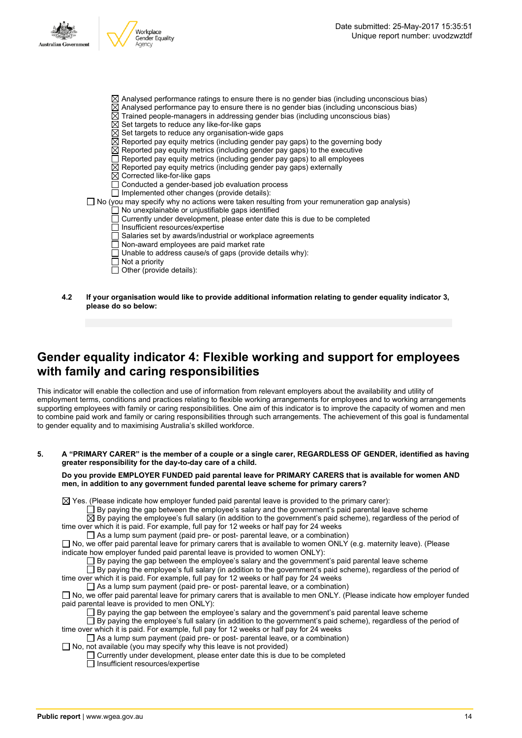

- Not a priority
- Other (provide details):
- **4.2 If your organisation would like to provide additional information relating to gender equality indicator 3, please do so below:**

# **Gender equality indicator 4: Flexible working and support for employees with family and caring responsibilities**

This indicator will enable the collection and use of information from relevant employers about the availability and utility of employment terms, conditions and practices relating to flexible working arrangements for employees and to working arrangements supporting employees with family or caring responsibilities. One aim of this indicator is to improve the capacity of women and men to combine paid work and family or caring responsibilities through such arrangements. The achievement of this goal is fundamental to gender equality and to maximising Australia's skilled workforce.

#### 5. A "PRIMARY CARER" is the member of a couple or a single carer, REGARDLESS OF GENDER, identified as having **greater responsibility for the day-to-day care of a child.**

**Do you provide EMPLOYER FUNDED paid parental leave for PRIMARY CARERS that is available for women AND men, in addition to any government funded parental leave scheme for primary carers?**

 $\boxtimes$  Yes. (Please indicate how employer funded paid parental leave is provided to the primary carer):

 $\Box$  By paying the gap between the employee's salary and the government's paid parental leave scheme

 $\overline{\boxtimes}$  By paying the employee's full salary (in addition to the government's paid scheme), regardless of the period of time over which it is paid. For example, full pay for 12 weeks or half pay for 24 weeks

As a lump sum payment (paid pre- or post- parental leave, or a combination)

 $\Box$  No, we offer paid parental leave for primary carers that is available to women ONLY (e.g. maternity leave). (Please indicate how employer funded paid parental leave is provided to women ONLY):

 $\square$  By paying the gap between the employee's salary and the government's paid parental leave scheme

 $\Box$  By paying the employee's full salary (in addition to the government's paid scheme), regardless of the period of time over which it is paid. For example, full pay for 12 weeks or half pay for 24 weeks

 $\Box$  As a lump sum payment (paid pre- or post- parental leave, or a combination)

 $\Box$  No, we offer paid parental leave for primary carers that is available to men ONLY. (Please indicate how employer funded paid parental leave is provided to men ONLY):

 $\Box$  By paying the gap between the employee's salary and the government's paid parental leave scheme

 $\overline{\Box}$  By paying the employee's full salary (in addition to the government's paid scheme), regardless of the period of time over which it is paid. For example, full pay for 12 weeks or half pay for 24 weeks

 $\Box$  As a lump sum payment (paid pre- or post- parental leave, or a combination)

 $\Box$  No, not available (you may specify why this leave is not provided)

Currently under development, please enter date this is due to be completed  $\Box$  Insufficient resources/expertise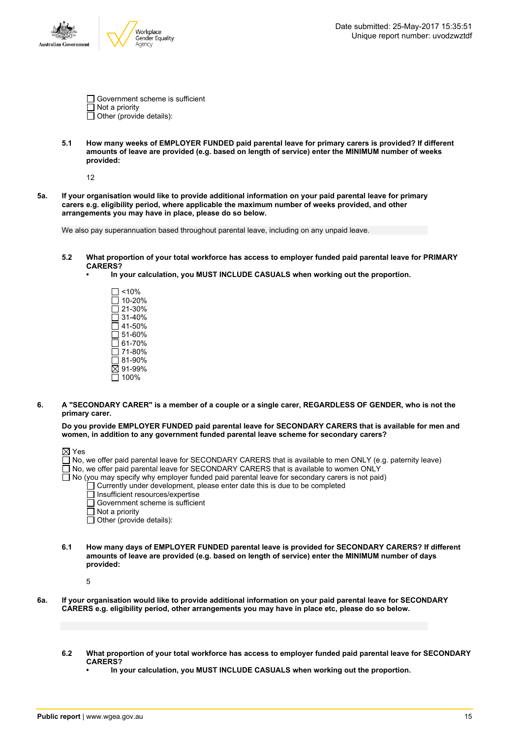

| Government scheme is sufficient |
|---------------------------------|
| $\Box$ Not a priority           |
| $\Box$ Other (provide details): |

**5.1 How many weeks of EMPLOYER FUNDED paid parental leave for primary carers is provided? If different amounts of leave are provided (e.g. based on length of service) enter the MINIMUM number of weeks provided:**

12

5a. If your organisation would like to provide additional information on your paid parental leave for primary **carers e.g. eligibility period, where applicable the maximum number of weeks provided, and other arrangements you may have in place, please do so below.**

We also pay superannuation based throughout parental leave, including on any unpaid leave.

- **5.2 What proportion of your total workforce has access to employer funded paid parental leave for PRIMARY CARERS?**
	- **• In your calculation, you MUST INCLUDE CASUALS when working out the proportion.**
		- $\square$  <10% 10-20% 21-30%  $\overline{\Box}$  31-40%  $\square$  41-50%  $\overline{\square}$  51-60%  $\overline{\Box}$  61-70%  $\Box$  71-80%  $\bar{$  81-90%  $\overline{\boxtimes}$  91-99%  $\square$  100%
- 6. A "SECONDARY CARER" is a member of a couple or a single carer, REGARDLESS OF GENDER, who is not the **primary carer.**
	- **Do you provide EMPLOYER FUNDED paid parental leave for SECONDARY CARERS that is available for men and women, in addition to any government funded parental leave scheme for secondary carers?**

- No, we offer paid parental leave for SECONDARY CARERS that is available to men ONLY (e.g. paternity leave)
- □<br>No, we offer paid parental leave for SECONDARY CARERS that is available to women ONLY
- $\Box$  No (you may specify why employer funded paid parental leave for secondary carers is not paid)
	- $\Box$  Currently under development, please enter date this is due to be completed
		- $\Box$  Insufficient resources/expertise
			- Government scheme is sufficient
		- Not a priority
	- Other (provide details):
- **6.1 How many days of EMPLOYER FUNDED parental leave is provided for SECONDARY CARERS? If different amounts of leave are provided (e.g. based on length of service) enter the MINIMUM number of days provided:**

5

- 6a. If your organisation would like to provide additional information on your paid parental leave for SECONDARY **CARERS e.g. eligibility period, other arrangements you may have in place etc, please do so below.**
	- 6.2 What proportion of your total workforce has access to employer funded paid parental leave for SECONDARY **CARERS?**
		- **• In your calculation, you MUST INCLUDE CASUALS when working out the proportion.**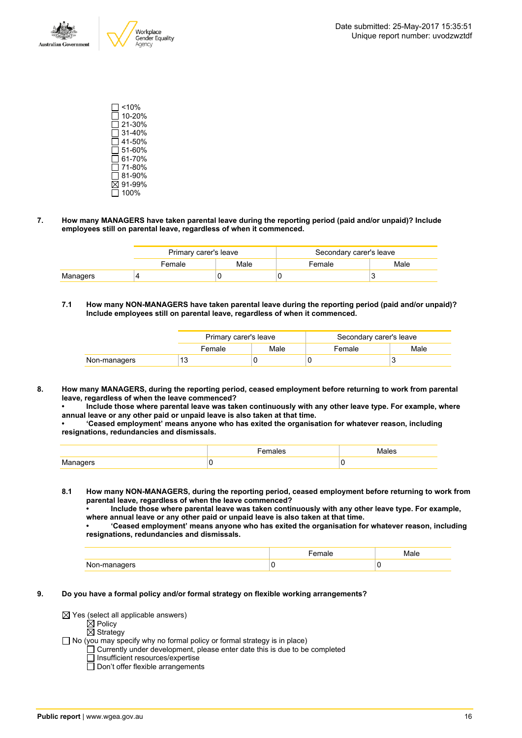

 $\Box$ <10%  $\overline{\Box}$  10-20% 21-30%  $\Box$  31-40%  $\overline{$  41-50%  $\Box$  51-60%  $\square$  61-70%  $\overline{\Box}$  71-80% 81-90% 91-99%  $\Box$  100%

#### **7. How many MANAGERS have taken parental leave during the reporting period (paid and/or unpaid)? Include employees still on parental leave, regardless of when it commenced.**

|          | Primary carer's leave    |  | Secondary carer's leave |  |
|----------|--------------------------|--|-------------------------|--|
|          | Male<br>Female<br>Female |  | Male                    |  |
| Managers |                          |  |                         |  |

**7.1 How many NON-MANAGERS have taken parental leave during the reporting period (paid and/or unpaid)? Include employees still on parental leave, regardless of when it commenced.**

|              | Primary carer's leave |                | Secondary carer's leave |      |
|--------------|-----------------------|----------------|-------------------------|------|
|              | Female                | Male<br>Female |                         | Male |
| Non-managers | 13                    |                |                         |      |

**8. How many MANAGERS, during the reporting period, ceased employment before returning to work from parental leave, regardless of when the leave commenced?**

**• Include those where parental leave was taken continuously with any other leave type. For example, where annual leave or any other paid or unpaid leave is also taken at that time.**

**• 'Ceased employment' means anyone who has exited the organisation for whatever reason, including resignations, redundancies and dismissals.**

|                 | ''' | Males |
|-----------------|-----|-------|
| M:<br>enene<br> |     |       |

- **8.1 How many NON-MANAGERS, during the reporting period, ceased employment before returning to work from parental leave, regardless of when the leave commenced?**
	- **• Include those where parental leave was taken continuously with any other leave type. For example, where annual leave or any other paid or unpaid leave is also taken at that time.**

**• 'Ceased employment' means anyone who has exited the organisation for whatever reason, including resignations, redundancies and dismissals.**

| N |  |
|---|--|

- **9. Do you have a formal policy and/or formal strategy on flexible working arrangements?**
	- $\boxtimes$  Yes (select all applicable answers)
		- $\mathsf{\dot{M}}$  Policy
		- $\overline{\boxtimes}$  Strategy
	- No (you may specify why no formal policy or formal strategy is in place)
		- Currently under development, please enter date this is due to be completed
			- Insufficient resources/expertise
			- $\Box$  Don't offer flexible arrangements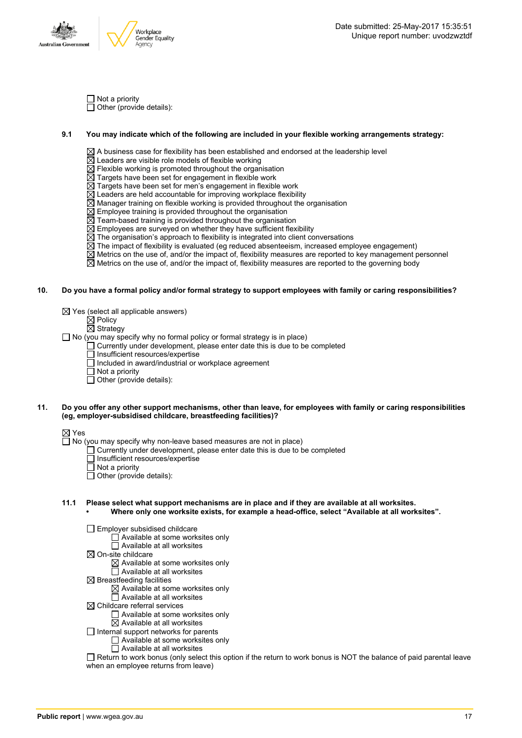

 $\Box$  Not a priority  $\Box$  Other (provide details):

#### **9.1 You may indicate which of the following are included in your flexible working arrangements strategy:**

 $\boxtimes$  A business case for flexibility has been established and endorsed at the leadership level

- $\boxtimes$  Leaders are visible role models of flexible working
- $\boxtimes$  Flexible working is promoted throughout the organisation
- $\overline{\boxtimes}$  Targets have been set for engagement in flexible work
- $\boxtimes$  Targets have been set for men's engagement in flexible work
- $\boxtimes$  Leaders are held accountable for improving workplace flexibility
- $\boxtimes$  Manager training on flexible working is provided throughout the organisation
- $\boxtimes$  Employee training is provided throughout the organisation
- $\overline{\boxtimes}$  Team-based training is provided throughout the organisation
- $\overline{\boxtimes}$  Employees are surveyed on whether they have sufficient flexibility
- $\overline{\boxtimes}$  The organisation's approach to flexibility is integrated into client conversations
- $\boxtimes$  The impact of flexibility is evaluated (eg reduced absenteeism, increased employee engagement)
- $\overline{\boxtimes}$  Metrics on the use of, and/or the impact of, flexibility measures are reported to key management personnel
- $\boxtimes$  Metrics on the use of, and/or the impact of, flexibility measures are reported to the governing body

#### 10. Do you have a formal policy and/or formal strategy to support employees with family or caring responsibilities?

- $\boxtimes$  Yes (select all applicable answers)
	- Policy
		- Strategy

 $\Box$  No (you may specify why no formal policy or formal strategy is in place)

- Currently under development, please enter date this is due to be completed
	- Insufficient resources/expertise
	- Included in award/industrial or workplace agreement
	- $\Box$  Not a priority
	- $\Box$  Other (provide details):

#### 11. Do you offer any other support mechanisms, other than leave, for employees with family or caring responsibilities **(eg, employer-subsidised childcare, breastfeeding facilities)?**

 $\boxtimes$  Yes

 $\Box$  No (you may specify why non-leave based measures are not in place)

- $\Box$  Currently under development, please enter date this is due to be completed
- Insufficient resources/expertise
- Not a priority
- $\Box$  Other (provide details):

#### **11.1 Please select what support mechanisms are in place and if they are available at all worksites.**

**• Where only one worksite exists, for example a head-office, select "Available at all worksites".**

Employer subsidised childcare

- Available at some worksites only
- Available at all worksites
- $\boxtimes$  On-site childcare
	- $\boxtimes$  Available at some worksites only
	- $\overline{\Box}$  Available at all worksites
- $\boxtimes$  Breastfeeding facilities
	- $\boxtimes$  Available at some worksites only
	- $\Box$  Available at all worksites
- $\boxtimes$  Childcare referral services
	- Available at some worksites only
	- $\overline{\boxtimes}$  Available at all worksites
- $\Box$  Internal support networks for parents
	- Available at some worksites only
		- Available at all worksites

Return to work bonus (only select this option if the return to work bonus is NOT the balance of paid parental leave when an employee returns from leave)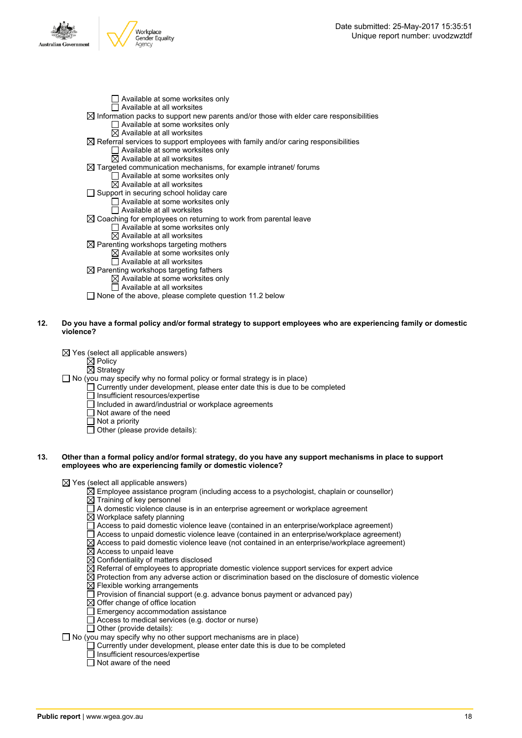

- $\Box$  Available at some worksites only  $\overline{\Box}$  Available at all worksites  $\boxtimes$  Information packs to support new parents and/or those with elder care responsibilities □ Available at some worksites only  $\boxtimes$  Available at all worksites  $\boxtimes$  Referral services to support employees with family and/or caring responsibilities  $\Box$  Available at some worksites only  $\overline{\boxtimes}$  Available at all worksites  $\boxtimes$  Targeted communication mechanisms, for example intranet/ forums □ Available at some worksites only  $\boxtimes$  Available at all worksites  $\Box$  Support in securing school holiday care  $\Box$  Available at some worksites only  $\overline{\Pi}$  Available at all worksites  $\boxtimes$  Coaching for employees on returning to work from parental leave Available at some worksites only  $\boxtimes$  Available at all worksites  $\overline{\boxtimes}$  Parenting workshops targeting mothers  $\boxtimes$  Available at some worksites only  $\Box$  Available at all worksites  $\boxtimes$  Parenting workshops targeting fathers  $\boxtimes$  Available at some worksites only
- 12. Do you have a formal policy and/or formal strategy to support employees who are experiencing family or domestic **violence?**
	- $\boxtimes$  Yes (select all applicable answers)
		- $\boxtimes$  Policy
		- $\overline{\boxtimes}$  Strategy
	- $\Box$  No (you may specify why no formal policy or formal strategy is in place)

 $\Box$  None of the above, please complete question 11.2 below

- $\Box$  Currently under development, please enter date this is due to be completed
- □ Insufficient resources/expertise

□ Available at all worksites

- Included in award/industrial or workplace agreements
- Not aware of the need
- $\overline{\Box}$  Not a priority
- $\Box$  Other (please provide details):

#### 13. Other than a formal policy and/or formal strategy, do you have any support mechanisms in place to support **employees who are experiencing family or domestic violence?**

 $\boxtimes$  Yes (select all applicable answers)

- $\boxtimes$  Employee assistance program (including access to a psychologist, chaplain or counsellor)
- $\overline{\boxtimes}$  Training of key personnel
- A domestic violence clause is in an enterprise agreement or workplace agreement
- $\boxtimes$  Workplace safety planning
- Access to paid domestic violence leave (contained in an enterprise/workplace agreement)
- $\Box$  Access to unpaid domestic violence leave (contained in an enterprise/workplace agreement)
- $\boxtimes$  Access to paid domestic violence leave (not contained in an enterprise/workplace agreement)
- $\boxtimes$  Access to unpaid leave
- $\boxtimes$  Confidentiality of matters disclosed
- $\boxtimes$  Referral of employees to appropriate domestic violence support services for expert advice
- $\boxtimes$  Protection from any adverse action or discrimination based on the disclosure of domestic violence  $\boxtimes$  Flexible working arrangements
- $\Box$  Provision of financial support (e.g. advance bonus payment or advanced pay)
- $\boxtimes$  Offer change of office location
- Emergency accommodation assistance
- Access to medical services (e.g. doctor or nurse)
- $\overline{\Box}$  Other (provide details):

 $\Box$  No (you may specify why no other support mechanisms are in place)

- $\Box$  Currently under development, please enter date this is due to be completed
- □ Insufficient resources/expertise
- $\overline{\Box}$  Not aware of the need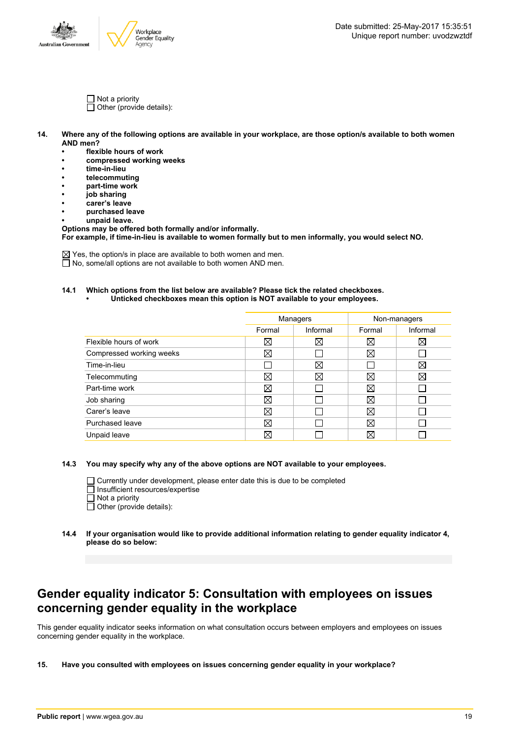

- $\Box$  Not a priority  $\Box$  Other (provide details):
- 14. Where any of the following options are available in your workplace, are those option/s available to both women **AND men?**
	- **• flexible hours of work**
	- **• compressed working weeks**
	- **• time-in-lieu**
	- **• telecommuting**
	- **• part-time work**
	- **• job sharing**
	- **• carer's leave • purchased leave**
	- **• unpaid leave.**
	- **Options may be offered both formally and/or informally.**

**For example, if time-in-lieu is available to women formally but to men informally, you would select NO.**

 $\boxtimes$  Yes, the option/s in place are available to both women and men.  $\Box$  No, some/all options are not available to both women AND men.

### **14.1 Which options from the list below are available? Please tick the related checkboxes.**

|  | Unticked checkboxes mean this option is NOT available to your employees. |  |
|--|--------------------------------------------------------------------------|--|
|--|--------------------------------------------------------------------------|--|

|                          | Managers |             | Non-managers |             |
|--------------------------|----------|-------------|--------------|-------------|
|                          | Formal   | Informal    | Formal       | Informal    |
| Flexible hours of work   | ⊠        | $\boxtimes$ | $\boxtimes$  | $\boxtimes$ |
| Compressed working weeks | ⊠        |             | $\boxtimes$  |             |
| Time-in-lieu             |          | ⊠           |              | ⊠           |
| Telecommuting            | ⊠        | $\boxtimes$ | Χ            | X           |
| Part-time work           | ⊠        |             | $\boxtimes$  |             |
| Job sharing              | ⊠        |             | X            |             |
| Carer's leave            | ⊠        |             | X            |             |
| Purchased leave          | ⊠        |             | X            |             |
| Unpaid leave             | $\times$ |             | $\times$     |             |

**14.3 You may specify why any of the above options are NOT available to your employees.**

Currently under development, please enter date this is due to be completed

- □ Insufficient resources/expertise
- $\Box$  Not a priority
- $\Box$  Other (provide details):
- **14.4 If your organisation would like to provide additional information relating to gender equality indicator 4, please do so below:**

### **Gender equality indicator 5: Consultation with employees on issues concerning gender equality in the workplace**

This gender equality indicator seeks information on what consultation occurs between employers and employees on issues concerning gender equality in the workplace.

**15. Have you consulted with employees on issues concerning gender equality in your workplace?**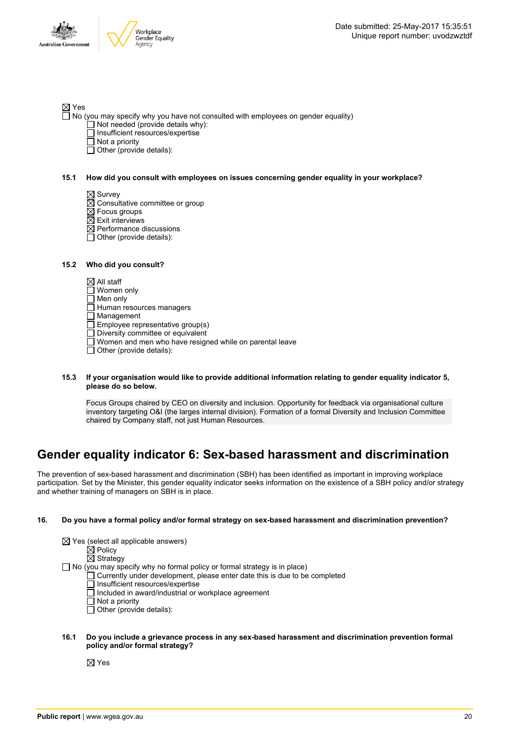

#### ⊠ Yes

- $\Box$  No (you may specify why you have not consulted with employees on gender equality)
	- $\Box$  Not needed (provide details why):
	- $\Box$  Insufficient resources/expertise
	- □ Not a priority
	- $\Box$  Other (provide details):

#### **15.1 How did you consult with employees on issues concerning gender equality in your workplace?**

- $\boxtimes$  Survey
- $\boxtimes$  Consultative committee or group
- $\boxtimes$  Focus groups
- $\overline{\boxtimes}$  Exit interviews
- $\boxtimes$  Performance discussions
- $\overline{\Box}$  Other (provide details):

#### **15.2 Who did you consult?**

 $\boxtimes$  All staff

- □ Women only
- □ Men only

 $\Box$  Human resources managers

Management

Employee representative group(s)

- $\overline{\Box}$  Diversity committee or equivalent
- Women and men who have resigned while on parental leave
- $\Box$  Other (provide details):

#### **15.3 If your organisation would like to provide additional information relating to gender equality indicator 5, please do so below.**

Focus Groups chaired by CEO on diversity and inclusion. Opportunity for feedback via organisational culture inventory targeting O&I (the larges internal division). Formation of a formal Diversity and Inclusion Committee chaired by Company staff, not just Human Resources.

# **Gender equality indicator 6: Sex-based harassment and discrimination**

The prevention of sex-based harassment and discrimination (SBH) has been identified as important in improving workplace participation. Set by the Minister, this gender equality indicator seeks information on the existence of a SBH policy and/or strategy and whether training of managers on SBH is in place.

#### **16. Do you have a formal policy and/or formal strategy on sex-based harassment and discrimination prevention?**

| $\boxtimes$ Yes (select all applicable answers)<br>$\boxtimes$ Policy<br>$\boxtimes$ Strategy                                                                                                                                                                                                                                             |
|-------------------------------------------------------------------------------------------------------------------------------------------------------------------------------------------------------------------------------------------------------------------------------------------------------------------------------------------|
| $\Box$ No (you may specify why no formal policy or formal strategy is in place)<br>$\Box$ Currently under development, please enter date this is due to be completed<br>$\Box$ Insufficient resources/expertise<br>$\Box$ Included in award/industrial or workplace agreement<br>$\Box$ Not a priority<br>$\Box$ Other (provide details): |

#### **16.1 Do you include a grievance process in any sex-based harassment and discrimination prevention formal policy and/or formal strategy?**

 $\boxtimes$  Yes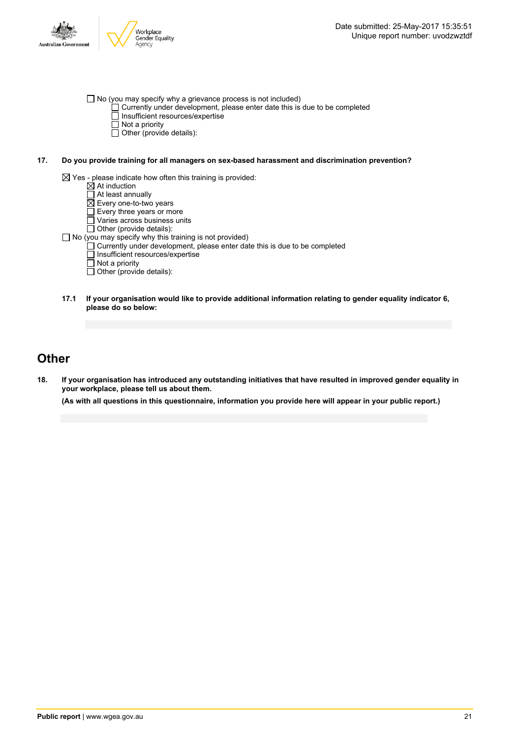

 $\Box$  No (you may specify why a grievance process is not included)

- Currently under development, please enter date this is due to be completed  $\overline{\Box}$  Insufficient resources/expertise
	-
	- $\overline{\Box}$  Not a priority  $\Box$  Other (provide details):
- **17. Do you provide training for all managers on sex-based harassment and discrimination prevention?**

 $\boxtimes$  Yes - please indicate how often this training is provided:

- At induction
- At least annually
- $\overline{\boxtimes}$  Every one-to-two years
- Every three years or more
- Varies across business units
- Other (provide details):
- $\Box$  No (you may specify why this training is not provided)
	- Currently under development, please enter date this is due to be completed
	- Insufficient resources/expertise
	- $\overline{\Box}$  Not a priority
	- $\Box$  Other (provide details):
- **17.1 If your organisation would like to provide additional information relating to gender equality indicator 6, please do so below:**

### **Other**

18. If your organisation has introduced any outstanding initiatives that have resulted in improved gender equality in **your workplace, please tell us about them.**

(As with all questions in this questionnaire, information you provide here will appear in your public report.)